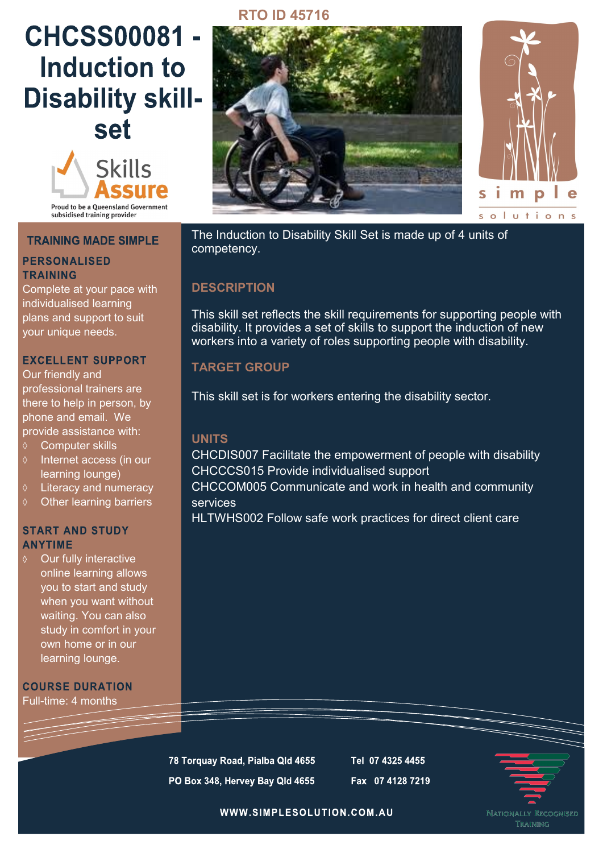# **CHCSS00081 -Induction to Disability skillset**



#### **TRAINING MADE SIMPLE**

## **PERSONALISED TRAINING**

Complete at your pace with individualised learning plans and support to suit your unique needs.

## **EXCELLENT SUPPORT**

Our friendly and professional trainers are there to help in person, by phone and email. We provide assistance with:

- **♦ Computer skills**
- $\Diamond$  Internet access (in our learning lounge)
- Literacy and numeracy
- $\diamond$  Other learning barriers

## **START AND STUDY ANYTIME**

Our fully interactive online learning allows you to start and study when you want without waiting. You can also study in comfort in your own home or in our learning lounge.

**COURSE DURATION** Full-time: 4 months

## **RTO ID 45716**





The Induction to Disability Skill Set is made up of 4 units of competency.

# **DESCRIPTION**

This skill set reflects the skill requirements for supporting people with disability. It provides a set of skills to support the induction of new workers into a variety of roles supporting people with disability.

## **TARGET GROUP**

This skill set is for workers entering the disability sector.

# **UNITS**

CHCDIS007 Facilitate the empowerment of people with disability CHCCCS015 Provide individualised support CHCCOM005 Communicate and work in health and community services

HLTWHS002 Follow safe work practices for direct client care

78 Torquay Road, Pialba Qld 4655 PO Box 348, Hervey Bay Qld 4655 Tel 07 4325 4455 Fax 07 4128 7219



WWW.SIMPLESOLUTION.COM.AU